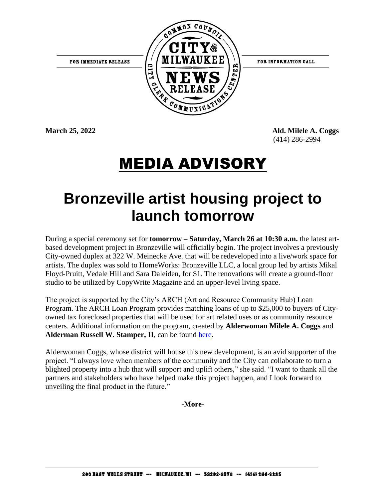

FOR INFORMATION CALL

**March 25, 2022 Ald. Milele A. Coggs** (414) 286-2994

## MEDIA ADVISORY

## **Bronzeville artist housing project to launch tomorrow**

During a special ceremony set for **tomorrow – Saturday, March 26 at 10:30 a.m.** the latest artbased development project in Bronzeville will officially begin. The project involves a previously City-owned duplex at 322 W. Meinecke Ave. that will be redeveloped into a live/work space for artists. The duplex was sold to HomeWorks: Bronzeville LLC, a local group led by artists Mikal Floyd-Pruitt, Vedale Hill and Sara Daleiden, for \$1. The renovations will create a ground-floor studio to be utilized by CopyWrite Magazine and an upper-level living space.

The project is supported by the City's ARCH (Art and Resource Community Hub) Loan Program. The ARCH Loan Program provides matching loans of up to \$25,000 to buyers of Cityowned tax foreclosed properties that will be used for art related uses or as community resource centers. Additional information on the program, created by **Alderwoman Milele A. Coggs** and **Alderman Russell W. Stamper, II**, can be found [here.](https://city.milwaukee.gov/DCD/NIDC/ARCH-Program)

Alderwoman Coggs, whose district will house this new development, is an avid supporter of the project. "I always love when members of the community and the City can collaborate to turn a blighted property into a hub that will support and uplift others," she said. "I want to thank all the partners and stakeholders who have helped make this project happen, and I look forward to unveiling the final product in the future."

**-More-**